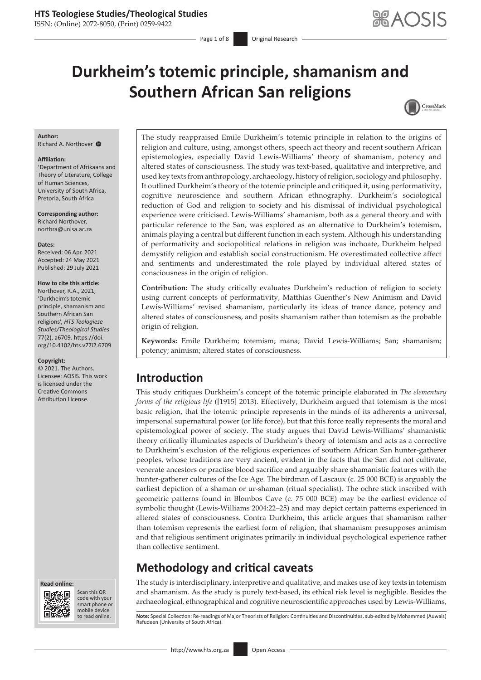ISSN: (Online) 2072-8050, (Print) 0259-9422

Page 1 of 8 Original Research

# **Durkheim's totemic principle, shamanism and Southern African San religions**



#### **Author:**

Richard A. Northover<sup>[1](http://orcid.org/0000-0002-5699-9613)</sup><sup>®</sup>

#### **Affiliation:**

1 Department of Afrikaans and Theory of Literature, College of Human Sciences, University of South Africa, Pretoria, South Africa

**Corresponding author:** Richard Northover, [northra@unisa.ac.za](mailto:northra@unisa.ac.za)

#### **Dates:**

Received: 06 Apr. 2021 Accepted: 24 May 2021 Published: 29 July 2021

#### **How to cite this article:**

Northover, R.A., 2021, 'Durkheim's totemic principle, shamanism and Southern African San religions', *HTS Teologiese Studies/Theological Studies* 77(2), a6709. [https://doi.](https://doi.org/10.4102/hts.v77i2.6709) [org/10.4102/hts.v77i2.6709](https://doi.org/10.4102/hts.v77i2.6709)

#### **Copyright:**

© 2021. The Authors. Licensee: AOSIS. This work is licensed under the Creative Commons Attribution License.





Scan this QR code with your Scan this QR<br>code with your<br>smart phone or<br>mobile device mobile device to read online.

The study reappraised Emile Durkheim's totemic principle in relation to the origins of religion and culture, using, amongst others, speech act theory and recent southern African epistemologies, especially David Lewis-Williams' theory of shamanism, potency and altered states of consciousness. The study was text-based, qualitative and interpretive, and used key texts from anthropology, archaeology, history of religion, sociology and philosophy. It outlined Durkheim's theory of the totemic principle and critiqued it, using performativity, cognitive neuroscience and southern African ethnography. Durkheim's sociological reduction of God and religion to society and his dismissal of individual psychological experience were criticised. Lewis-Williams' shamanism, both as a general theory and with particular reference to the San, was explored as an alternative to Durkheim's totemism, animals playing a central but different function in each system. Although his understanding of performativity and sociopolitical relations in religion was inchoate, Durkheim helped demystify religion and establish social constructionism. He overestimated collective affect and sentiments and underestimated the role played by individual altered states of consciousness in the origin of religion.

**Contribution:** The study critically evaluates Durkheim's reduction of religion to society using current concepts of performativity, Matthias Guenther's New Animism and David Lewis-Williams' revised shamanism, particularly its ideas of trance dance, potency and altered states of consciousness, and posits shamanism rather than totemism as the probable origin of religion.

**Keywords:** Emile Durkheim; totemism; mana; David Lewis-Williams; San; shamanism; potency; animism; altered states of consciousness.

# **Introduction**

This study critiques Durkheim's concept of the totemic principle elaborated in *The elementary forms of the religious life* ([1915] 2013). Effectively, Durkheim argued that totemism is the most basic religion, that the totemic principle represents in the minds of its adherents a universal, impersonal supernatural power (or life force), but that this force really represents the moral and epistemological power of society. The study argues that David Lewis-Williams' shamanistic theory critically illuminates aspects of Durkheim's theory of totemism and acts as a corrective to Durkheim's exclusion of the religious experiences of southern African San hunter-gatherer peoples, whose traditions are very ancient, evident in the facts that the San did not cultivate, venerate ancestors or practise blood sacrifice and arguably share shamanistic features with the hunter-gatherer cultures of the Ice Age. The birdman of Lascaux (c. 25 000 BCE) is arguably the earliest depiction of a shaman or ur-shaman (ritual specialist). The ochre stick inscribed with geometric patterns found in Blombos Cave (c. 75 000 BCE) may be the earliest evidence of symbolic thought (Lewis-Williams 2004:22–25) and may depict certain patterns experienced in altered states of consciousness. Contra Durkheim, this article argues that shamanism rather than totemism represents the earliest form of religion, that shamanism presupposes animism and that religious sentiment originates primarily in individual psychological experience rather than collective sentiment.

### **Methodology and critical caveats**

The study is interdisciplinary, interpretive and qualitative, and makes use of key texts in totemism and shamanism. As the study is purely text-based, its ethical risk level is negligible. Besides the archaeological, ethnographical and cognitive neuroscientific approaches used by Lewis-Williams,

Note: Special Collection: Re-readings of Major Theorists of Religion: Continuities and Discontinuities, sub-edited by Mohammed (Auwais) Rafudeen (University of South Africa).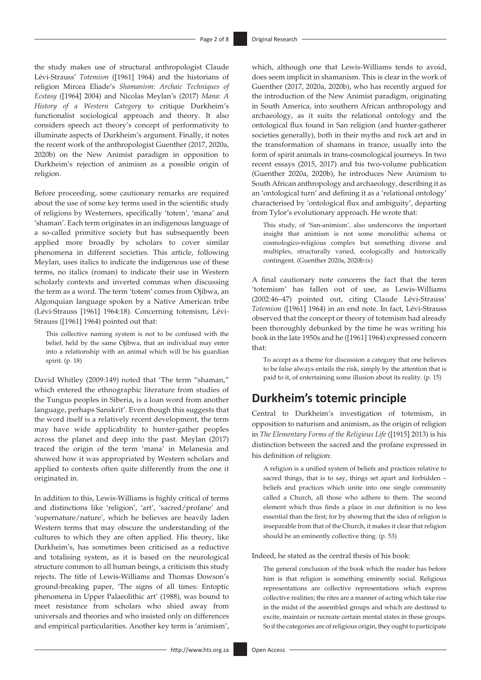the study makes use of structural anthropologist Claude Lévi-Strauss' *Totemism* ([1961] 1964) and the historians of religion Mircea Eliade's *Shamanism: Archaic Techniques of Ecstasy* ([1964] 2004) and Nicolas Meylan's (2017) *Mana: A History of a Western Category* to critique Durkheim's functionalist sociological approach and theory. It also considers speech act theory's concept of performativity to illuminate aspects of Durkheim's argument. Finally, it notes the recent work of the anthropologist Guenther (2017, 2020a, 2020b) on the New Animist paradigm in opposition to Durkheim's rejection of animism as a possible origin of religion.

Before proceeding, some cautionary remarks are required about the use of some key terms used in the scientific study of religions by Westerners, specifically 'totem', 'mana' and 'shaman'. Each term originates in an indigenous language of a so-called primitive society but has subsequently been applied more broadly by scholars to cover similar phenomena in different societies. This article, following Meylan, uses italics to indicate the indigenous use of these terms, no italics (roman) to indicate their use in Western scholarly contexts and inverted commas when discussing the term as a word. The term 'totem' comes from Ojibwa, an Algonquian language spoken by a Native American tribe (Lévi-Strauss [1961] 1964:18). Concerning totemism, Lévi-Strauss ([1961] 1964) pointed out that:

This collective naming system is not to be confused with the belief, held by the same Ojibwa, that an individual may enter into a relationship with an animal which will be his guardian spirit. (p. 18)

David Whitley (2009:149) noted that 'The term "shaman," which entered the ethnographic literature from studies of the Tungus peoples in Siberia, is a loan word from another language, perhaps Sanskrit'. Even though this suggests that the word itself is a relatively recent development, the term may have wide applicability to hunter-gather peoples across the planet and deep into the past. Meylan (2017) traced the origin of the term 'mana' in Melanesia and showed how it was appropriated by Western scholars and applied to contexts often quite differently from the one it originated in.

In addition to this, Lewis-Williams is highly critical of terms and distinctions like 'religion', 'art', 'sacred/profane' and 'supernature/nature', which he believes are heavily laden Western terms that may obscure the understanding of the cultures to which they are often applied. His theory, like Durkheim's, has sometimes been criticised as a reductive and totalising system, as it is based on the neurological structure common to all human beings, a criticism this study rejects. The title of Lewis-Williams and Thomas Dowson's ground-breaking paper, 'The signs of all times: Entoptic phenomena in Upper Palaeolithic art' (1988), was bound to meet resistance from scholars who shied away from universals and theories and who insisted only on differences and empirical particularities. Another key term is 'animism',

which, although one that Lewis-Williams tends to avoid, does seem implicit in shamanism. This is clear in the work of Guenther (2017, 2020a, 2020b), who has recently argued for the introduction of the New Animist paradigm, originating in South America, into southern African anthropology and archaeology, as it suits the relational ontology and the ontological flux found in San religion (and hunter-gatherer societies generally), both in their myths and rock art and in the transformation of shamans in trance, usually into the form of spirit animals in trans-cosmological journeys. In two recent essays (2015, 2017) and his two-volume publication (Guenther 2020a, 2020b), he introduces New Animism to South African anthropology and archaeology, describing it as an 'ontological turn' and defining it as a 'relational ontology' characterised by 'ontological flux and ambiguity', departing from Tylor's evolutionary approach. He wrote that:

This study, of 'San-animism', also underscores the important insight that animism is not some monolithic schema or cosmologico-religious complex but something diverse and multiplex, structurally varied, ecologically and historically contingent. (Guenther 2020a, 2020b:ix)

A final cautionary note concerns the fact that the term 'totemism' has fallen out of use, as Lewis-Williams (2002:46–47) pointed out, citing Claude Lévi-Strauss' *Totemism* ([1961] 1964) in an end note. In fact, Lévi-Strauss observed that the concept or theory of totemism had already been thoroughly debunked by the time he was writing his book in the late 1950s and he ([1961] 1964) expressed concern that:

To accept as a theme for discussion a category that one believes to be false always entails the risk, simply by the attention that is paid to it, of entertaining some illusion about its reality. (p. 15)

### **Durkheim's totemic principle**

Central to Durkheim's investigation of totemism, in opposition to naturism and animism, as the origin of religion in *The Elementary Forms of the Religious Life* ([1915] 2013) is his distinction between the sacred and the profane expressed in his definition of religion:

A religion is a unified system of beliefs and practices relative to sacred things, that is to say, things set apart and forbidden – beliefs and practices which unite into one single community called a Church, all those who adhere to them. The second element which thus finds a place in our definition is no less essential than the first; for by showing that the idea of religion is inseparable from that of the Church, it makes it clear that religion should be an eminently collective thing. (p. 53)

Indeed, he stated as the central thesis of his book:

The general conclusion of the book which the reader has before him is that religion is something eminently social. Religious representations are collective representations which express collective realities; the rites are a manner of acting which take rise in the midst of the assembled groups and which are destined to excite, maintain or recreate certain mental states in these groups. So if the categories are of religious origin, they ought to participate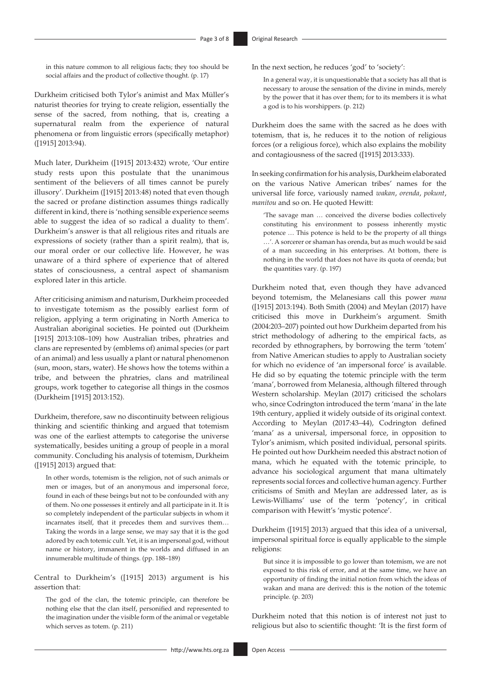in this nature common to all religious facts; they too should be social affairs and the product of collective thought. (p. 17)

Durkheim criticised both Tylor's animist and Max Müller's naturist theories for trying to create religion, essentially the sense of the sacred, from nothing, that is, creating a supernatural realm from the experience of natural phenomena or from linguistic errors (specifically metaphor) ([1915] 2013:94).

Much later, Durkheim ([1915] 2013:432) wrote, 'Our entire study rests upon this postulate that the unanimous sentiment of the believers of all times cannot be purely illusory'. Durkheim ([1915] 2013:48) noted that even though the sacred or profane distinction assumes things radically different in kind, there is 'nothing sensible experience seems able to suggest the idea of so radical a duality to them'. Durkheim's answer is that all religious rites and rituals are expressions of society (rather than a spirit realm), that is, our moral order or our collective life. However, he was unaware of a third sphere of experience that of altered states of consciousness, a central aspect of shamanism explored later in this article.

After criticising animism and naturism, Durkheim proceeded to investigate totemism as the possibly earliest form of religion, applying a term originating in North America to Australian aboriginal societies. He pointed out (Durkheim [1915] 2013:108–109) how Australian tribes, phratries and clans are represented by (emblems of) animal species (or part of an animal) and less usually a plant or natural phenomenon (sun, moon, stars, water). He shows how the totems within a tribe, and between the phratries, clans and matrilineal groups, work together to categorise all things in the cosmos (Durkheim [1915] 2013:152).

Durkheim, therefore, saw no discontinuity between religious thinking and scientific thinking and argued that totemism was one of the earliest attempts to categorise the universe systematically, besides uniting a group of people in a moral community. Concluding his analysis of totemism, Durkheim ([1915] 2013) argued that:

In other words, totemism is the religion, not of such animals or men or images, but of an anonymous and impersonal force, found in each of these beings but not to be confounded with any of them. No one possesses it entirely and all participate in it. It is so completely independent of the particular subjects in whom it incarnates itself, that it precedes them and survives them… Taking the words in a large sense, we may say that it is the god adored by each totemic cult. Yet, it is an impersonal god, without name or history, immanent in the worlds and diffused in an innumerable multitude of things. (pp. 188–189)

Central to Durkheim's ([1915] 2013) argument is his assertion that:

The god of the clan, the totemic principle, can therefore be nothing else that the clan itself, personified and represented to the imagination under the visible form of the animal or vegetable which serves as totem. (p. 211)

In the next section, he reduces 'god' to 'society':

In a general way, it is unquestionable that a society has all that is necessary to arouse the sensation of the divine in minds, merely by the power that it has over them; for to its members it is what a god is to his worshippers. (p. 212)

Durkheim does the same with the sacred as he does with totemism, that is, he reduces it to the notion of religious forces (or a religious force), which also explains the mobility and contagiousness of the sacred ([1915] 2013:333).

In seeking confirmation for his analysis, Durkheim elaborated on the various Native American tribes' names for the universal life force, variously named *wakan*, *orenda*, *pokunt*, *manitou* and so on. He quoted Hewitt:

'The savage man … conceived the diverse bodies collectively constituting his environment to possess inherently mystic potence … This potence is held to be the property of all things …'. A sorcerer or shaman has orenda, but as much would be said of a man succeeding in his enterprises. At bottom, there is nothing in the world that does not have its quota of orenda; but the quantities vary. (p. 197)

Durkheim noted that, even though they have advanced beyond totemism, the Melanesians call this power *mana* ([1915] 2013:194). Both Smith (2004) and Meylan (2017) have criticised this move in Durkheim's argument. Smith (2004:203–207) pointed out how Durkheim departed from his strict methodology of adhering to the empirical facts, as recorded by ethnographers, by borrowing the term 'totem' from Native American studies to apply to Australian society for which no evidence of 'an impersonal force' is available. He did so by equating the totemic principle with the term 'mana', borrowed from Melanesia, although filtered through Western scholarship. Meylan (2017) criticised the scholars who, since Codrington introduced the term 'mana' in the late 19th century, applied it widely outside of its original context. According to Meylan (2017:43–44), Codrington defined 'mana' as a universal, impersonal force, in opposition to Tylor's animism, which posited individual, personal spirits. He pointed out how Durkheim needed this abstract notion of mana, which he equated with the totemic principle, to advance his sociological argument that mana ultimately represents social forces and collective human agency. Further criticisms of Smith and Meylan are addressed later, as is Lewis-Williams' use of the term 'potency', in critical comparison with Hewitt's 'mystic potence'.

Durkheim ([1915] 2013) argued that this idea of a universal, impersonal spiritual force is equally applicable to the simple religions:

But since it is impossible to go lower than totemism, we are not exposed to this risk of error, and at the same time, we have an opportunity of finding the initial notion from which the ideas of wakan and mana are derived: this is the notion of the totemic principle. (p. 203)

Durkheim noted that this notion is of interest not just to religious but also to scientific thought: 'It is the first form of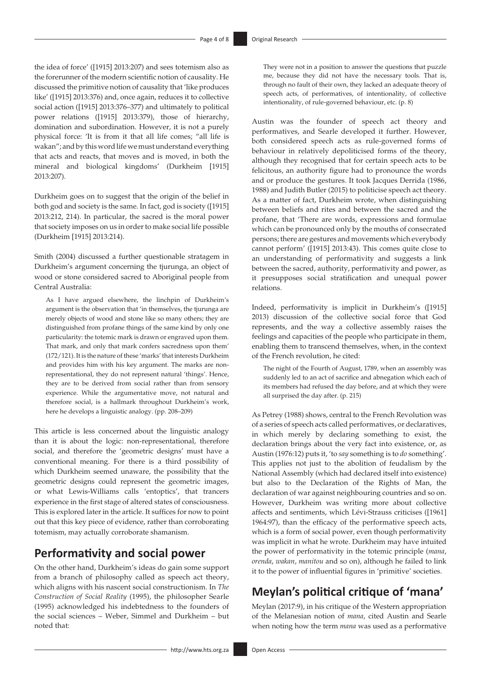the idea of force' ([1915] 2013:207) and sees totemism also as the forerunner of the modern scientific notion of causality. He discussed the primitive notion of causality that 'like produces like' ([1915] 2013:376) and, once again, reduces it to collective social action ([1915] 2013:376–377) and ultimately to political power relations ([1915] 2013:379), those of hierarchy, domination and subordination. However, it is not a purely physical force: 'It is from it that all life comes; "all life is wakan"; and by this word life we must understand everything that acts and reacts, that moves and is moved, in both the mineral and biological kingdoms' (Durkheim [1915] 2013:207).

Durkheim goes on to suggest that the origin of the belief in both god and society is the same. In fact, god is society ([1915] 2013:212, 214). In particular, the sacred is the moral power that society imposes on us in order to make social life possible (Durkheim [1915] 2013:214).

Smith (2004) discussed a further questionable stratagem in Durkheim's argument concerning the tjurunga, an object of wood or stone considered sacred to Aboriginal people from Central Australia:

As I have argued elsewhere, the linchpin of Durkheim's argument is the observation that 'in themselves, the tjurunga are merely objects of wood and stone like so many others; they are distinguished from profane things of the same kind by only one particularity: the totemic mark is drawn or engraved upon them. That mark, and only that mark confers sacredness upon them' (172/121). It is the nature of these 'marks' that interests Durkheim and provides him with his key argument. The marks are nonrepresentational, they do not represent natural 'things'. Hence, they are to be derived from social rather than from sensory experience. While the argumentative move, not natural and therefore social, is a hallmark throughout Durkheim's work, here he develops a linguistic analogy. (pp. 208–209)

This article is less concerned about the linguistic analogy than it is about the logic: non-representational, therefore social, and therefore the 'geometric designs' must have a conventional meaning. For there is a third possibility of which Durkheim seemed unaware, the possibility that the geometric designs could represent the geometric images, or what Lewis-Williams calls 'entoptics', that trancers experience in the first stage of altered states of consciousness. This is explored later in the article. It suffices for now to point out that this key piece of evidence, rather than corroborating totemism, may actually corroborate shamanism.

### **Performativity and social power**

On the other hand, Durkheim's ideas do gain some support from a branch of philosophy called as speech act theory, which aligns with his nascent social constructionism. In *The Construction of Social Reality* (1995), the philosopher Searle (1995) acknowledged his indebtedness to the founders of the social sciences – Weber, Simmel and Durkheim – but noted that:

They were not in a position to answer the questions that puzzle me, because they did not have the necessary tools. That is, through no fault of their own, they lacked an adequate theory of speech acts, of performatives, of intentionality, of collective intentionality, of rule-governed behaviour, etc. (p. 8)

Austin was the founder of speech act theory and performatives, and Searle developed it further. However, both considered speech acts as rule-governed forms of behaviour in relatively depoliticised forms of the theory, although they recognised that for certain speech acts to be felicitous, an authority figure had to pronounce the words and or produce the gestures. It took Jacques Derrida (1986, 1988) and Judith Butler (2015) to politicise speech act theory. As a matter of fact, Durkheim wrote, when distinguishing between beliefs and rites and between the sacred and the profane, that 'There are words, expressions and formulae which can be pronounced only by the mouths of consecrated persons; there are gestures and movements which everybody cannot perform' ([1915] 2013:43). This comes quite close to an understanding of performativity and suggests a link between the sacred, authority, performativity and power, as it presupposes social stratification and unequal power relations.

Indeed, performativity is implicit in Durkheim's ([1915] 2013) discussion of the collective social force that God represents, and the way a collective assembly raises the feelings and capacities of the people who participate in them, enabling them to transcend themselves, when, in the context of the French revolution, he cited:

The night of the Fourth of August, 1789, when an assembly was suddenly led to an act of sacrifice and abnegation which each of its members had refused the day before, and at which they were all surprised the day after. (p. 215)

As Petrey (1988) shows, central to the French Revolution was of a series of speech acts called performatives, or declaratives, in which merely by declaring something to exist, the declaration brings about the very fact into existence, or, as Austin (1976:12) puts it, 'to *say* something is to *do* something'. This applies not just to the abolition of feudalism by the National Assembly (which had declared itself into existence) but also to the Declaration of the Rights of Man, the declaration of war against neighbouring countries and so on. However, Durkheim was writing more about collective affects and sentiments, which Lévi-Strauss criticises ([1961] 1964:97), than the efficacy of the performative speech acts, which is a form of social power, even though performativity was implicit in what he wrote. Durkheim may have intuited the power of performativity in the totemic principle (*mana*, *orenda*, *wakan*, *manitou* and so on), although he failed to link it to the power of influential figures in 'primitive' societies.

# **Meylan's political critique of 'mana'**

Meylan (2017:9), in his critique of the Western appropriation of the Melanesian notion of *mana*, cited Austin and Searle when noting how the term *mana* was used as a performative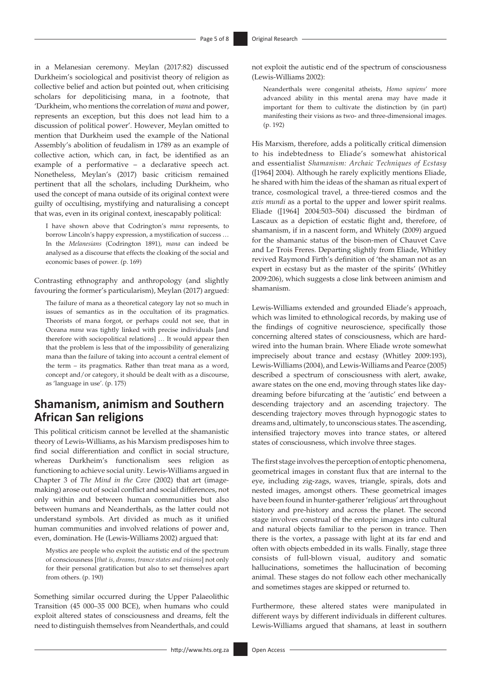in a Melanesian ceremony. Meylan (2017:82) discussed Durkheim's sociological and positivist theory of religion as collective belief and action but pointed out, when criticising scholars for depoliticising mana, in a footnote, that 'Durkheim, who mentions the correlation of *mana* and power, represents an exception, but this does not lead him to a discussion of political power'. However, Meylan omitted to mention that Durkheim used the example of the National Assembly's abolition of feudalism in 1789 as an example of collective action, which can, in fact, be identified as an example of a performative – a declarative speech act. Nonetheless, Meylan's (2017) basic criticism remained pertinent that all the scholars, including Durkheim, who used the concept of mana outside of its original context were guilty of occultising, mystifying and naturalising a concept that was, even in its original context, inescapably political:

I have shown above that Codrington's *mana* represents, to borrow Lincoln's happy expression, a mystification of success … In the *Melanesians* (Codrington 1891), *mana* can indeed be analysed as a discourse that effects the cloaking of the social and economic bases of power. (p. 169)

Contrasting ethnography and anthropology (and slightly favouring the former's particularism), Meylan (2017) argued:

The failure of mana as a theoretical category lay not so much in issues of semantics as in the occultation of its pragmatics. Theorists of mana forgot, or perhaps could not see, that in Oceana *mana* was tightly linked with precise individuals [and therefore with sociopolitical relations] … It would appear then that the problem is less that of the impossibility of generalizing mana than the failure of taking into account a central element of the term – its pragmatics. Rather than treat mana as a word, concept and/or category, it should be dealt with as a discourse, as 'language in use'. (p. 175)

## **Shamanism, animism and Southern African San religions**

This political criticism cannot be levelled at the shamanistic theory of Lewis-Williams, as his Marxism predisposes him to find social differentiation and conflict in social structure, whereas Durkheim's functionalism sees religion as functioning to achieve social unity. Lewis-Williams argued in Chapter 3 of *The Mind in the Cave* (2002) that art (imagemaking) arose out of social conflict and social differences, not only within and between human communities but also between humans and Neanderthals, as the latter could not understand symbols. Art divided as much as it unified human communities and involved relations of power and, even, domination. He (Lewis-Williams 2002) argued that:

Mystics are people who exploit the autistic end of the spectrum of consciousness [*that is, dreams, trance states and visions*] not only for their personal gratification but also to set themselves apart from others. (p. 190)

Something similar occurred during the Upper Palaeolithic Transition (45 000–35 000 BCE), when humans who could exploit altered states of consciousness and dreams, felt the need to distinguish themselves from Neanderthals, and could

not exploit the autistic end of the spectrum of consciousness (Lewis-Williams 2002):

Neanderthals were congenital atheists, *Homo sapiens*' more advanced ability in this mental arena may have made it important for them to cultivate the distinction by (in part) manifesting their visions as two- and three-dimensional images. (p. 192)

His Marxism, therefore, adds a politically critical dimension to his indebtedness to Eliade's somewhat ahistorical and essentialist *Shamanism: Archaic Techniques of Ecstasy* ([1964] 2004). Although he rarely explicitly mentions Eliade, he shared with him the ideas of the shaman as ritual expert of trance, cosmological travel, a three-tiered cosmos and the *axis mundi* as a portal to the upper and lower spirit realms. Eliade ([1964] 2004:503–504) discussed the birdman of Lascaux as a depiction of ecstatic flight and, therefore, of shamanism, if in a nascent form, and Whitely (2009) argued for the shamanic status of the bison-men of Chauvet Cave and Le Trois Freres. Departing slightly from Eliade, Whitley revived Raymond Firth's definition of 'the shaman not as an expert in ecstasy but as the master of the spirits' (Whitley 2009:206), which suggests a close link between animism and shamanism.

Lewis-Williams extended and grounded Eliade's approach, which was limited to ethnological records, by making use of the findings of cognitive neuroscience, specifically those concerning altered states of consciousness, which are hardwired into the human brain. Where Eliade wrote somewhat imprecisely about trance and ecstasy (Whitley 2009:193), Lewis-Williams (2004), and Lewis-Williams and Pearce (2005) described a spectrum of consciousness with alert, awake, aware states on the one end, moving through states like daydreaming before bifurcating at the 'autistic' end between a descending trajectory and an ascending trajectory. The descending trajectory moves through hypnogogic states to dreams and, ultimately, to unconscious states. The ascending, intensified trajectory moves into trance states, or altered states of consciousness, which involve three stages.

The first stage involves the perception of entoptic phenomena, geometrical images in constant flux that are internal to the eye, including zig-zags, waves, triangle, spirals, dots and nested images, amongst others. These geometrical images have been found in hunter-gatherer 'religious' art throughout history and pre-history and across the planet. The second stage involves construal of the entopic images into cultural and natural objects familiar to the person in trance. Then there is the vortex, a passage with light at its far end and often with objects embedded in its walls. Finally, stage three consists of full-blown visual, auditory and somatic hallucinations, sometimes the hallucination of becoming animal. These stages do not follow each other mechanically and sometimes stages are skipped or returned to.

Furthermore, these altered states were manipulated in different ways by different individuals in different cultures. Lewis-Williams argued that shamans, at least in southern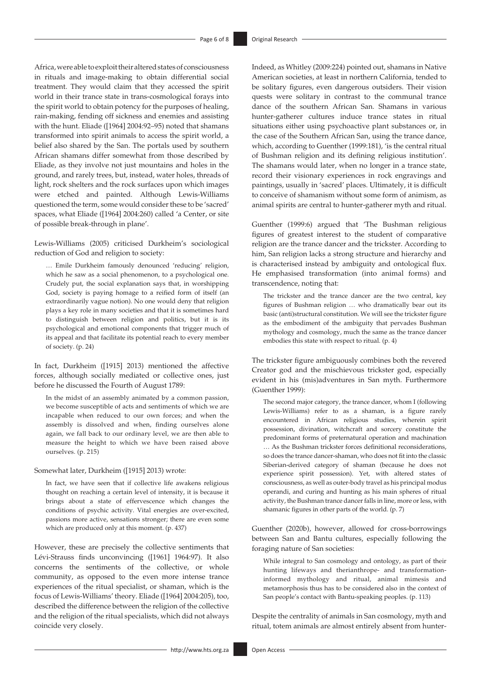Africa, were able to exploit their altered states of consciousness in rituals and image-making to obtain differential social treatment. They would claim that they accessed the spirit world in their trance state in trans-cosmological forays into the spirit world to obtain potency for the purposes of healing, rain-making, fending off sickness and enemies and assisting with the hunt. Eliade ([1964] 2004:92–95) noted that shamans transformed into spirit animals to access the spirit world, a belief also shared by the San. The portals used by southern African shamans differ somewhat from those described by Eliade, as they involve not just mountains and holes in the ground, and rarely trees, but, instead, water holes, threads of light, rock shelters and the rock surfaces upon which images were etched and painted. Although Lewis-Williams questioned the term, some would consider these to be 'sacred' spaces, what Eliade ([1964] 2004:260) called 'a Center, or site of possible break-through in plane'.

Lewis-Williams (2005) criticised Durkheim's sociological reduction of God and religion to society:

… Emile Durkheim famously denounced 'reducing' religion, which he saw as a social phenomenon, to a psychological one. Crudely put, the social explanation says that, in worshipping God, society is paying homage to a reified form of itself (an extraordinarily vague notion). No one would deny that religion plays a key role in many societies and that it is sometimes hard to distinguish between religion and politics, but it is its psychological and emotional components that trigger much of its appeal and that facilitate its potential reach to every member of society. (p. 24)

In fact, Durkheim ([1915] 2013) mentioned the affective forces, although socially mediated or collective ones, just before he discussed the Fourth of August 1789:

In the midst of an assembly animated by a common passion, we become susceptible of acts and sentiments of which we are incapable when reduced to our own forces; and when the assembly is dissolved and when, finding ourselves alone again, we fall back to our ordinary level, we are then able to measure the height to which we have been raised above ourselves. (p. 215)

Somewhat later, Durkheim ([1915] 2013) wrote:

In fact, we have seen that if collective life awakens religious thought on reaching a certain level of intensity, it is because it brings about a state of effervescence which changes the conditions of psychic activity. Vital energies are over-excited, passions more active, sensations stronger; there are even some which are produced only at this moment. (p. 437)

However, these are precisely the collective sentiments that Lévi-Strauss finds unconvincing ([1961] 1964:97). It also concerns the sentiments of the collective, or whole community, as opposed to the even more intense trance experiences of the ritual specialist, or shaman, which is the focus of Lewis-Williams' theory. Eliade ([1964] 2004:205), too, described the difference between the religion of the collective and the religion of the ritual specialists, which did not always coincide very closely.

Indeed, as Whitley (2009:224) pointed out, shamans in Native American societies, at least in northern California, tended to be solitary figures, even dangerous outsiders. Their vision quests were solitary in contrast to the communal trance dance of the southern African San. Shamans in various hunter-gatherer cultures induce trance states in ritual situations either using psychoactive plant substances or, in the case of the Southern African San, using the trance dance, which, according to Guenther (1999:181), 'is the central ritual of Bushman religion and its defining religious institution'. The shamans would later, when no longer in a trance state, record their visionary experiences in rock engravings and paintings, usually in 'sacred' places. Ultimately, it is difficult to conceive of shamanism without some form of animism, as animal spirits are central to hunter-gatherer myth and ritual.

Guenther (1999:6) argued that 'The Bushman religious figures of greatest interest to the student of comparative religion are the trance dancer and the trickster. According to him, San religion lacks a strong structure and hierarchy and is characterised instead by ambiguity and ontological flux. He emphasised transformation (into animal forms) and transcendence, noting that:

The trickster and the trance dancer are the two central, key figures of Bushman religion … who dramatically bear out its basic (anti)structural constitution. We will see the trickster figure as the embodiment of the ambiguity that pervades Bushman mythology and cosmology, much the same as the trance dancer embodies this state with respect to ritual. (p. 4)

The trickster figure ambiguously combines both the revered Creator god and the mischievous trickster god, especially evident in his (mis)adventures in San myth. Furthermore (Guenther 1999):

The second major category, the trance dancer, whom I (following Lewis-Williams) refer to as a shaman, is a figure rarely encountered in African religious studies, wherein spirit possession, divination, witchcraft and sorcery constitute the predominant forms of preternatural operation and machination … As the Bushman trickster forces definitional reconsiderations, so does the trance dancer-shaman, who does not fit into the classic Siberian-derived category of shaman (because he does not experience spirit possession). Yet, with altered states of consciousness, as well as outer-body travel as his principal modus operandi, and curing and hunting as his main spheres of ritual activity, the Bushman trance dancer falls in line, more or less, with shamanic figures in other parts of the world. (p. 7)

Guenther (2020b), however, allowed for cross-borrowings between San and Bantu cultures, especially following the foraging nature of San societies:

While integral to San cosmology and ontology, as part of their hunting lifeways and therianthrope- and transformationinformed mythology and ritual, animal mimesis and metamorphosis thus has to be considered also in the context of San people's contact with Bantu-speaking peoples. (p. 113)

Despite the centrality of animals in San cosmology, myth and ritual, totem animals are almost entirely absent from hunter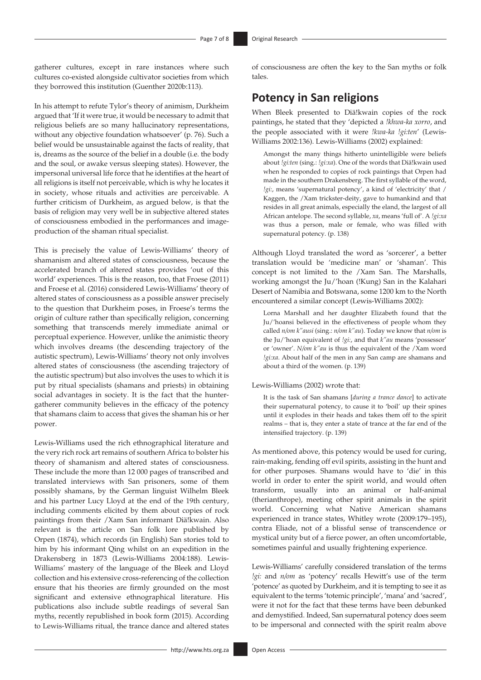gatherer cultures, except in rare instances where such cultures co-existed alongside cultivator societies from which they borrowed this institution (Guenther 2020b:113).

In his attempt to refute Tylor's theory of animism, Durkheim argued that 'If it were true, it would be necessary to admit that religious beliefs are so many hallucinatory representations, without any objective foundation whatsoever' (p. 76). Such a belief would be unsustainable against the facts of reality, that is, dreams as the source of the belief in a double (i.e. the body and the soul, or awake versus sleeping states). However, the impersonal universal life force that he identifies at the heart of all religions is itself not perceivable, which is why he locates it in society, whose rituals and activities are perceivable. A further criticism of Durkheim, as argued below, is that the basis of religion may very well be in subjective altered states of consciousness embodied in the performances and imageproduction of the shaman ritual specialist.

This is precisely the value of Lewis-Williams' theory of shamanism and altered states of consciousness, because the accelerated branch of altered states provides 'out of this world' experiences. This is the reason, too, that Froese (2011) and Froese et al. (2016) considered Lewis-Williams' theory of altered states of consciousness as a possible answer precisely to the question that Durkheim poses, in Froese's terms the origin of culture rather than specifically religion, concerning something that transcends merely immediate animal or perceptual experience. However, unlike the animistic theory which involves dreams (the descending trajectory of the autistic spectrum), Lewis-Williams' theory not only involves altered states of consciousness (the ascending trajectory of the autistic spectrum) but also involves the uses to which it is put by ritual specialists (shamans and priests) in obtaining social advantages in society. It is the fact that the huntergatherer community believes in the efficacy of the potency that shamans claim to access that gives the shaman his or her power.

Lewis-Williams used the rich ethnographical literature and the very rich rock art remains of southern Africa to bolster his theory of shamanism and altered states of consciousness. These include the more than 12 000 pages of transcribed and translated interviews with San prisoners, some of them possibly shamans, by the German linguist Wilhelm Bleek and his partner Lucy Lloyd at the end of the 19th century, including comments elicited by them about copies of rock paintings from their /Xam San informant Diä!kwain. Also relevant is the article on San folk lore published by Orpen (1874), which records (in English) San stories told to him by his informant Qing whilst on an expedition in the Drakensberg in 1873 (Lewis-Williams 2004:188). Lewis-Williams' mastery of the language of the Bleek and Lloyd collection and his extensive cross-referencing of the collection ensure that his theories are firmly grounded on the most significant and extensive ethnographical literature. His publications also include subtle readings of several San myths, recently republished in book form (2015). According to Lewis-Williams ritual, the trance dance and altered states

of consciousness are often the key to the San myths or folk tales.

### **Potency in San religions**

When Bleek presented to Diä!kwain copies of the rock paintings, he stated that they 'depicted a *!khwa-ka xorro*, and the people associated with it were *!kwa-ka !gi:ten*' (Lewis-Williams 2002:136). Lewis-Williams (2002) explained:

Amongst the many things hitherto unintelligible were beliefs about *!gi:ten* (sing.: *!gi:xa*). One of the words that Diä!kwain used when he responded to copies of rock paintings that Orpen had made in the southern Drakensberg. The first syllable of the word, *!gi:*, means 'supernatural potency', a kind of 'electricity' that / Kaggen, the /Xam trickster-deity, gave to humankind and that resides in all great animals, especially the eland, the largest of all African antelope. The second syllable, *xa*, means 'full of'. A *!gi:xa* was thus a person, male or female, who was filled with supernatural potency. (p. 138)

Although Lloyd translated the word as 'sorcerer', a better translation would be 'medicine man' or 'shaman'. This concept is not limited to the /Xam San. The Marshalls, working amongst the Ju/'hoan (!Kung) San in the Kalahari Desert of Namibia and Botswana, some 1200 km to the North encountered a similar concept (Lewis-Williams 2002):

Lorna Marshall and her daughter Elizabeth found that the Ju/'hoansi believed in the effectiveness of people whom they called *n/om k"ausi* (sing.: *n/om k"au*). Today we know that *n/om* is the Ju/'hoan equivalent of *!gi:*, and that *k"au* means 'possessor' or 'owner'. *N/om k"au* is thus the equivalent of the /Xam word *!gi:xa*. About half of the men in any San camp are shamans and about a third of the women. (p. 139)

#### Lewis-Williams (2002) wrote that:

It is the task of San shamans [*during a trance dance*] to activate their supernatural potency, to cause it to 'boil' up their spines until it explodes in their heads and takes them off to the spirit realms – that is, they enter a state of trance at the far end of the intensified trajectory. (p. 139)

As mentioned above, this potency would be used for curing, rain-making, fending off evil spirits, assisting in the hunt and for other purposes. Shamans would have to 'die' in this world in order to enter the spirit world, and would often transform, usually into an animal or half-animal (therianthrope), meeting other spirit animals in the spirit world. Concerning what Native American shamans experienced in trance states, Whitley wrote (2009:179–195), contra Eliade, not of a blissful sense of transcendence or mystical unity but of a fierce power, an often uncomfortable, sometimes painful and usually frightening experience.

Lewis-Williams' carefully considered translation of the terms *!gi:* and *n/om* as 'potency' recalls Hewitt's use of the term 'potence' as quoted by Durkheim, and it is tempting to see it as equivalent to the terms 'totemic principle', 'mana' and 'sacred', were it not for the fact that these terms have been debunked and demystified. Indeed, San supernatural potency does seem to be impersonal and connected with the spirit realm above